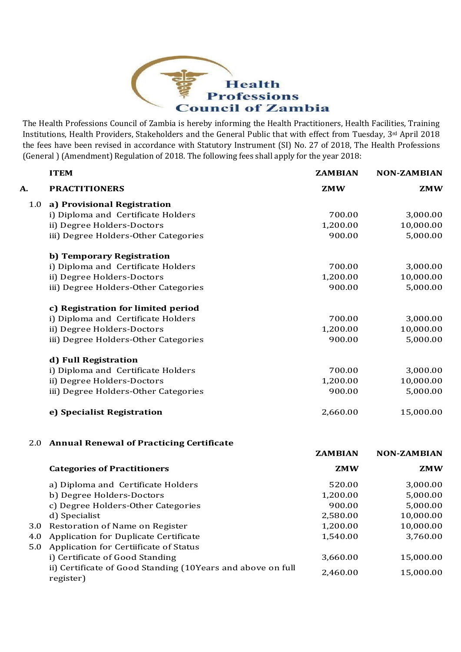

The Health Professions Council of Zambia is hereby informing the Health Practitioners, Health Facilities, Training Institutions, Health Providers, Stakeholders and the General Public that with effect from Tuesday, 3rd April 2018 the fees have been revised in accordance with Statutory Instrument (SI) No. 27 of 2018, The Health Professions (General ) (Amendment) Regulation of 2018. The following fees shall apply for the year 2018:

|     | <b>ITEM</b>                                                              | <b>ZAMBIAN</b> | <b>NON-ZAMBIAN</b> |
|-----|--------------------------------------------------------------------------|----------------|--------------------|
| A.  | <b>PRACTITIONERS</b>                                                     | <b>ZMW</b>     | <b>ZMW</b>         |
| 1.0 | a) Provisional Registration                                              |                |                    |
|     | i) Diploma and Certificate Holders                                       | 700.00         | 3,000.00           |
|     | ii) Degree Holders-Doctors                                               | 1,200.00       | 10,000.00          |
|     | iii) Degree Holders-Other Categories                                     | 900.00         | 5,000.00           |
|     | b) Temporary Registration                                                |                |                    |
|     | i) Diploma and Certificate Holders                                       | 700.00         | 3,000.00           |
|     | ii) Degree Holders-Doctors                                               | 1,200.00       | 10,000.00          |
|     | iii) Degree Holders-Other Categories                                     | 900.00         | 5,000.00           |
|     | c) Registration for limited period                                       |                |                    |
|     | i) Diploma and Certificate Holders                                       | 700.00         | 3,000.00           |
|     | ii) Degree Holders-Doctors                                               | 1,200.00       | 10,000.00          |
|     | iii) Degree Holders-Other Categories                                     | 900.00         | 5,000.00           |
|     | d) Full Registration                                                     |                |                    |
|     | i) Diploma and Certificate Holders                                       | 700.00         | 3,000.00           |
|     | ii) Degree Holders-Doctors                                               | 1,200.00       | 10,000.00          |
|     | iii) Degree Holders-Other Categories                                     | 900.00         | 5,000.00           |
|     | e) Specialist Registration                                               | 2,660.00       | 15,000.00          |
|     | 2.0 Annual Renewal of Practicing Certificate                             |                |                    |
|     |                                                                          | <b>ZAMBIAN</b> | <b>NON-ZAMBIAN</b> |
|     | <b>Categories of Practitioners</b>                                       | <b>ZMW</b>     | <b>ZMW</b>         |
|     | a) Diploma and Certificate Holders                                       | 520.00         | 3,000.00           |
|     | b) Degree Holders-Doctors                                                | 1,200.00       | 5,000.00           |
|     | c) Degree Holders-Other Categories                                       | 900.00         | 5,000.00           |
|     | d) Specialist                                                            | 2,580.00       | 10,000.00          |
| 3.0 | Restoration of Name on Register                                          | 1,200.00       | 10,000.00          |
| 4.0 | <b>Application for Duplicate Certificate</b>                             | 1,540.00       | 3,760.00           |
| 5.0 | Application for Certiificate of Status                                   |                |                    |
|     | i) Certificate of Good Standing                                          | 3,660.00       | 15,000.00          |
|     | ii) Certificate of Good Standing (10Years and above on full<br>register) | 2,460.00       | 15,000.00          |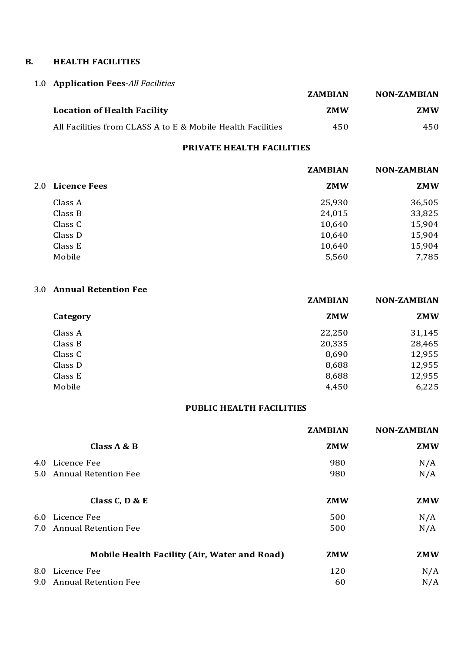#### **B. HEALTH FACILITIES**

### 1.0 **Application Fees-***All Facilities*

|                                                             | <b>ZAMBIAN</b> | <b>NON-ZAMBIAN</b> |
|-------------------------------------------------------------|----------------|--------------------|
| <b>Location of Health Facility</b>                          | 7.MW           | <b>ZMW</b>         |
| All Facilities from CLASS A to E & Mobile Health Facilities | 450            | 450                |

#### **PRIVATE HEALTH FACILITIES**

|         | <b>ZAMBIAN</b>   | <b>NON-ZAMBIAN</b> |
|---------|------------------|--------------------|
|         | <b>ZMW</b>       | <b>ZMW</b>         |
| Class A | 25,930           | 36,505             |
| Class B | 24,015           | 33,825             |
| Class C | 10,640           | 15,904             |
| Class D | 10,640           | 15,904             |
| Class E | 10,640           | 15,904             |
| Mobile  | 5,560            | 7,785              |
|         | 2.0 Licence Fees |                    |

#### 3.0 **Annual Retention Fee**

|          | <b>ZAMBIAN</b> | <b>NON-ZAMBIAN</b> |
|----------|----------------|--------------------|
| Category | <b>ZMW</b>     | <b>ZMW</b>         |
| Class A  | 22,250         | 31,145             |
| Class B  | 20,335         | 28,465             |
| Class C  | 8,690          | 12,955             |
| Class D  | 8,688          | 12,955             |
| Class E  | 8,688          | 12,955             |
| Mobile   | 4,450          | 6,225              |

#### **PUBLIC HEALTH FACILITIES**

|               |                                              | <b>ZAMBIAN</b> | <b>NON-ZAMBIAN</b> |
|---------------|----------------------------------------------|----------------|--------------------|
|               | Class A & B                                  | <b>ZMW</b>     | <b>ZMW</b>         |
| 4.0           | Licence Fee                                  | 980            | N/A                |
| $5.0^{\circ}$ | <b>Annual Retention Fee</b>                  | 980            | N/A                |
|               | Class $C$ , $D$ & $E$                        | <b>ZMW</b>     | <b>ZMW</b>         |
|               | 6.0 Licence Fee                              | 500            | N/A                |
| 7.0           | <b>Annual Retention Fee</b>                  | 500            | N/A                |
|               | Mobile Health Facility (Air, Water and Road) | <b>ZMW</b>     | <b>ZMW</b>         |
|               | 8.0 Licence Fee                              | 120            | N/A                |
| 9.0           | <b>Annual Retention Fee</b>                  | 60             | N/A                |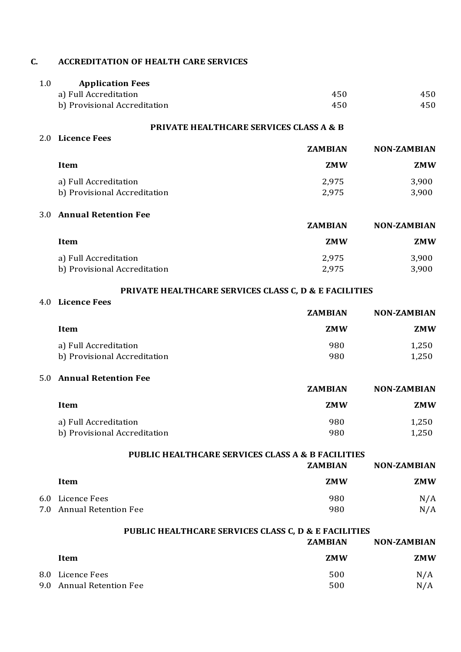#### **C. ACCREDITATION OF HEALTH CARE SERVICES**

| <b>Application Fees</b>      |     |     |
|------------------------------|-----|-----|
| a) Full Accreditation        | 450 | 450 |
| b) Provisional Accreditation | 450 | 450 |

#### **PRIVATE HEALTHCARE SERVICES CLASS A & B**

| 2.0 Licence Fees             |                |                    |
|------------------------------|----------------|--------------------|
|                              | <b>ZAMBIAN</b> | <b>NON-ZAMBIAN</b> |
| Item                         | <b>ZMW</b>     | ZMW                |
| a) Full Accreditation        | 2,975          | 3,900              |
| b) Provisional Accreditation | 2,975          | 3,900              |

#### 3.0 **Annual Retention Fee**

|                              | <b>ZAMBIAN</b> | <b>NON-ZAMBIAN</b> |
|------------------------------|----------------|--------------------|
| Item                         | <b>ZMW</b>     | <b>ZMW</b>         |
| a) Full Accreditation        | 2,975          | 3,900              |
| b) Provisional Accreditation | 2,975          | 3,900              |

#### **PRIVATE HEALTHCARE SERVICES CLASS C, D & E FACILITIES**

#### 4.0 **Licence Fees**

| <b>ZAMBIAN</b> | <b>NON-ZAMBIAN</b> |
|----------------|--------------------|
| <b>ZMW</b>     | <b>ZMW</b>         |
| 980            | 1,250              |
| 980            | 1,250              |
|                |                    |

### 5.0 **Annual Retention Fee**

|                              | <b>ZAMBIAN</b> | <b>NON-ZAMBIAN</b> |
|------------------------------|----------------|--------------------|
| Item                         | <b>ZMW</b>     | <b>ZMW</b>         |
| a) Full Accreditation        | 980            | 1.250              |
| b) Provisional Accreditation | 980            | 1.250              |

**PUBLIC HEALTHCARE SERVICES CLASS A & B FACILITIES**

|                          | <b>ZAMBIAN</b> | <b>NON-ZAMBIAN</b> |
|--------------------------|----------------|--------------------|
| Item                     | <b>ZMW</b>     | <b>ZMW</b>         |
| 6.0 Licence Fees         | 980            | N/A                |
| 7.0 Annual Retention Fee | 980            | N/A                |

## **PUBLIC HEALTHCARE SERVICES CLASS C, D & E FACILITIES**

|            |                                             | <b>ZAMBIAN</b> | <b>NON-ZAMBIAN</b> |
|------------|---------------------------------------------|----------------|--------------------|
|            | Item                                        | <b>ZMW</b>     | <b>ZMW</b>         |
| 8.0<br>9.0 | Licence Fees<br><b>Annual Retention Fee</b> | 500<br>500     | N/A<br>N/A         |
|            |                                             |                |                    |